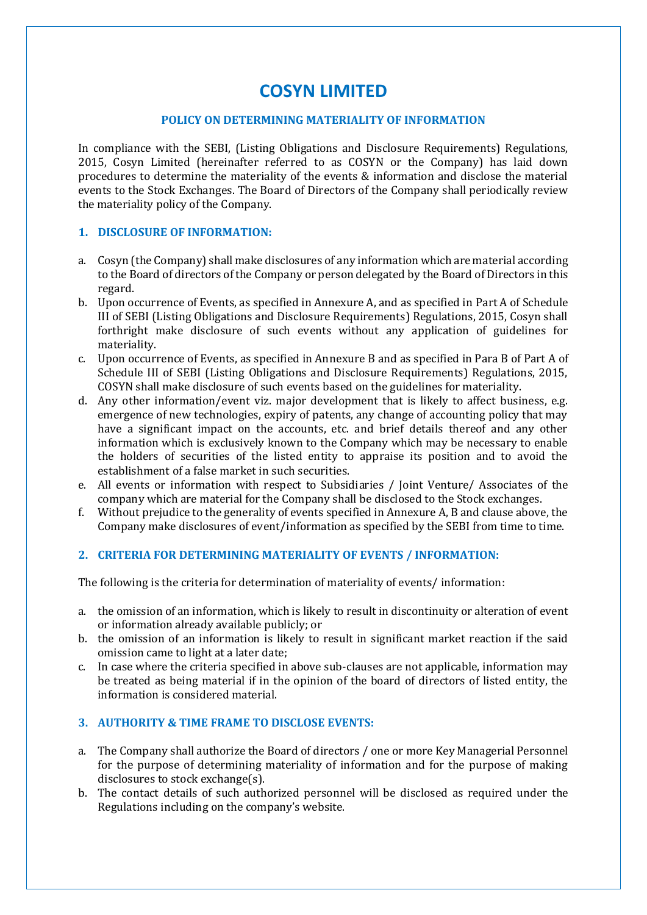# **COSYN LIMITED**

#### **POLICY ON DETERMINING MATERIALITY OF INFORMATION**

In compliance with the SEBI, (Listing Obligations and Disclosure Requirements) Regulations, 2015, Cosyn Limited (hereinafter referred to as COSYN or the Company) has laid down procedures to determine the materiality of the events & information and disclose the material events to the Stock Exchanges. The Board of Directors of the Company shall periodically review the materiality policy of the Company.

## **1. DISCLOSURE OF INFORMATION:**

- a. Cosyn (the Company) shall make disclosures of any information which are material according to the Board of directors of the Company or person delegated by the Board of Directors in this regard.
- b. Upon occurrence of Events, as specified in Annexure A, and as specified in Part A of Schedule III of SEBI (Listing Obligations and Disclosure Requirements) Regulations, 2015, Cosyn shall forthright make disclosure of such events without any application of guidelines for materiality.
- c. Upon occurrence of Events, as specified in Annexure B and as specified in Para B of Part A of Schedule III of SEBI (Listing Obligations and Disclosure Requirements) Regulations, 2015, COSYN shall make disclosure of such events based on the guidelines for materiality.
- d. Any other information/event viz. major development that is likely to affect business, e.g. emergence of new technologies, expiry of patents, any change of accounting policy that may have a significant impact on the accounts, etc. and brief details thereof and any other information which is exclusively known to the Company which may be necessary to enable the holders of securities of the listed entity to appraise its position and to avoid the establishment of a false market in such securities.
- e. All events or information with respect to Subsidiaries / Joint Venture/ Associates of the company which are material for the Company shall be disclosed to the Stock exchanges.
- f. Without prejudice to the generality of events specified in Annexure A, B and clause above, the Company make disclosures of event/information as specified by the SEBI from time to time.

## **2. CRITERIA FOR DETERMINING MATERIALITY OF EVENTS / INFORMATION:**

The following is the criteria for determination of materiality of events/ information:

- a. the omission of an information, which is likely to result in discontinuity or alteration of event or information already available publicly; or
- b. the omission of an information is likely to result in significant market reaction if the said omission came to light at a later date;
- c. In case where the criteria specified in above sub-clauses are not applicable, information may be treated as being material if in the opinion of the board of directors of listed entity, the information is considered material.

## **3. AUTHORITY & TIME FRAME TO DISCLOSE EVENTS:**

- a. The Company shall authorize the Board of directors / one or more Key Managerial Personnel for the purpose of determining materiality of information and for the purpose of making disclosures to stock exchange(s).
- b. The contact details of such authorized personnel will be disclosed as required under the Regulations including on the company's website.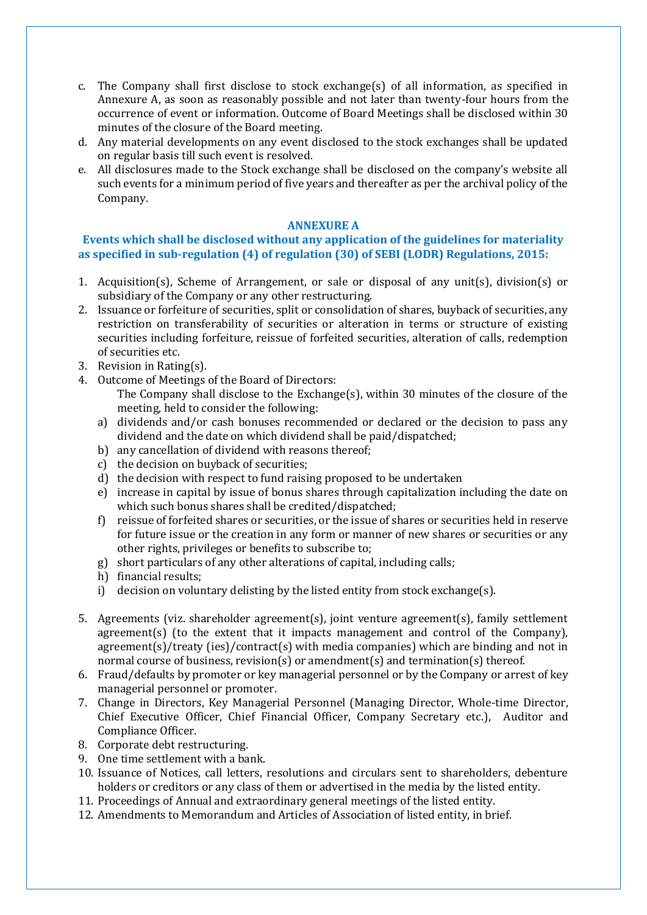- c. The Company shall first disclose to stock exchange(s) of all information, as specified in Annexure A, as soon as reasonably possible and not later than twenty-four hours from the occurrence of event or information. Outcome of Board Meetings shall be disclosed within 30 minutes of the closure of the Board meeting.
- d. Any material developments on any event disclosed to the stock exchanges shall be updated on regular basis till such event is resolved.
- e. All disclosures made to the Stock exchange shall be disclosed on the company's website all such events for a minimum period of five years and thereafter as per the archival policy of the Company.

#### **ANNEXURE A**

## **Events which shall be disclosed without any application of the guidelines for materiality as specified in sub-regulation (4) of regulation (30) of SEBI (LODR) Regulations, 2015:**

- 1. Acquisition(s), Scheme of Arrangement, or sale or disposal of any unit(s), division(s) or subsidiary of the Company or any other restructuring.
- 2. Issuance or forfeiture of securities, split or consolidation of shares, buyback of securities, any restriction on transferability of securities or alteration in terms or structure of existing securities including forfeiture, reissue of forfeited securities, alteration of calls, redemption of securities etc.
- 3. Revision in Rating(s).
- 4. Outcome of Meetings of the Board of Directors:
	- The Company shall disclose to the Exchange(s), within 30 minutes of the closure of the meeting, held to consider the following:
	- a) dividends and/or cash bonuses recommended or declared or the decision to pass any dividend and the date on which dividend shall be paid/dispatched;
	- b) any cancellation of dividend with reasons thereof;
	- c) the decision on buyback of securities;
	- d) the decision with respect to fund raising proposed to be undertaken
	- e) increase in capital by issue of bonus shares through capitalization including the date on which such bonus shares shall be credited/dispatched;
	- f) reissue of forfeited shares or securities, or the issue of shares or securities held in reserve for future issue or the creation in any form or manner of new shares or securities or any other rights, privileges or benefits to subscribe to;
	- g) short particulars of any other alterations of capital, including calls;
	- h) financial results;
	- i) decision on voluntary delisting by the listed entity from stock exchange(s).
- 5. Agreements (viz. shareholder agreement(s), joint venture agreement(s), family settlement agreement(s) (to the extent that it impacts management and control of the Company), agreement(s)/treaty (ies)/contract(s) with media companies) which are binding and not in normal course of business, revision(s) or amendment(s) and termination(s) thereof.
- 6. Fraud/defaults by promoter or key managerial personnel or by the Company or arrest of key managerial personnel or promoter.
- 7. Change in Directors, Key Managerial Personnel (Managing Director, Whole-time Director, Chief Executive Officer, Chief Financial Officer, Company Secretary etc.), Auditor and Compliance Officer.
- 8. Corporate debt restructuring.
- 9. One time settlement with a bank.
- 10. Issuance of Notices, call letters, resolutions and circulars sent to shareholders, debenture holders or creditors or any class of them or advertised in the media by the listed entity.
- 11. Proceedings of Annual and extraordinary general meetings of the listed entity.
- 12. Amendments to Memorandum and Articles of Association of listed entity, in brief.